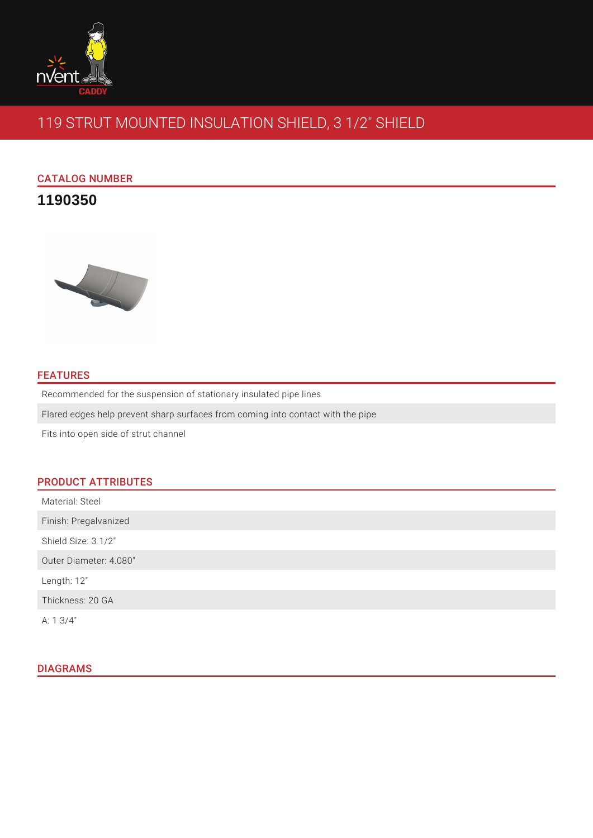

# 119 STRUT MOUNTED INSULATION SHIELD, 3 1/2" SHIELD

# CATALOG NUMBER

# **1190350**



# **FEATURES**

Recommended for the suspension of stationary insulated pipe lines

Flared edges help prevent sharp surfaces from coming into contact with the pipe

Fits into open side of strut channel

# PRODUCT ATTRIBUTES

| Material: Steel        |  |
|------------------------|--|
| Finish: Pregalvanized  |  |
| Shield Size: 3 1/2"    |  |
| Outer Diameter: 4.080" |  |
| Length: 12"            |  |
| Thickness: 20 GA       |  |
| A: $1 \frac{3}{4}$ "   |  |

# DIAGRAMS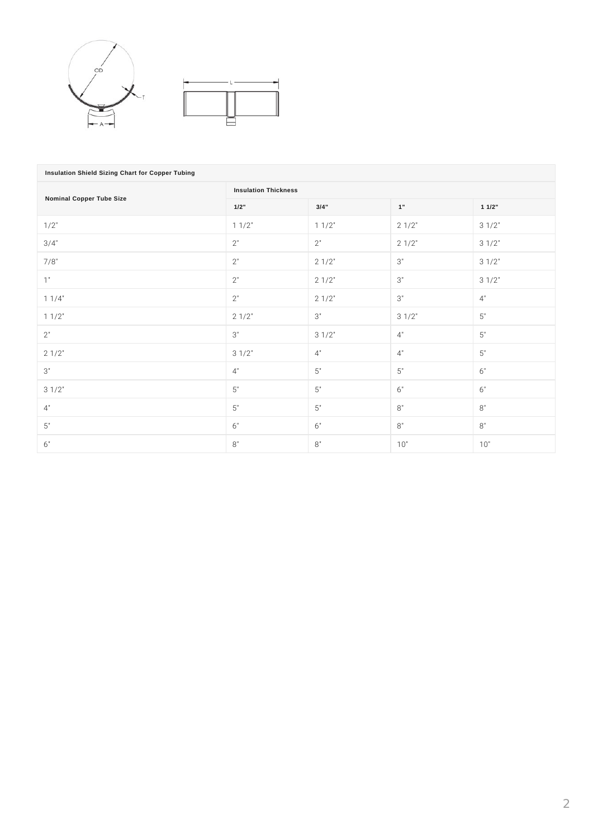

| Insulation Shield Sizing Chart for Copper Tubing |                             |                    |       |                    |  |  |  |  |
|--------------------------------------------------|-----------------------------|--------------------|-------|--------------------|--|--|--|--|
| <b>Nominal Copper Tube Size</b>                  | <b>Insulation Thickness</b> |                    |       |                    |  |  |  |  |
|                                                  | 1/2"                        | 3/4"               | 1"    | 11/2"              |  |  |  |  |
| 1/2"                                             | 11/2"                       | 11/2"              | 21/2" | 31/2"              |  |  |  |  |
| 3/4"                                             | $2"$                        | $2"$               | 21/2" | 31/2"              |  |  |  |  |
| 7/8"                                             | $2"$                        | 21/2"              | $3"$  | 31/2"              |  |  |  |  |
| 1"                                               | $2"$                        | 21/2"              | $3"$  | 31/2"              |  |  |  |  |
| 11/4"                                            | $2"$                        | 21/2"              | $3"$  | 4"                 |  |  |  |  |
| 11/2"                                            | 21/2"                       | $3"$               | 31/2" | $5\ensuremath{''}$ |  |  |  |  |
| 2"                                               | 3"                          | 31/2"              | 4"    | $5"$               |  |  |  |  |
| 21/2"                                            | 31/2"                       | 4"                 | 4"    | $5"$               |  |  |  |  |
| 3"                                               | 4"                          | $5\ensuremath{''}$ | $5"$  | 6"                 |  |  |  |  |
| 31/2"                                            | $5"$                        | $5"$               | $6"$  | $6"$               |  |  |  |  |
| 4"                                               | $5"$                        | $5"$               | $8"$  | $8"$               |  |  |  |  |
| $5"$                                             | 6"                          | 6"                 | $8"$  | $8"$               |  |  |  |  |
| 6"                                               | 8"                          | 8"                 | 10"   | 10"                |  |  |  |  |